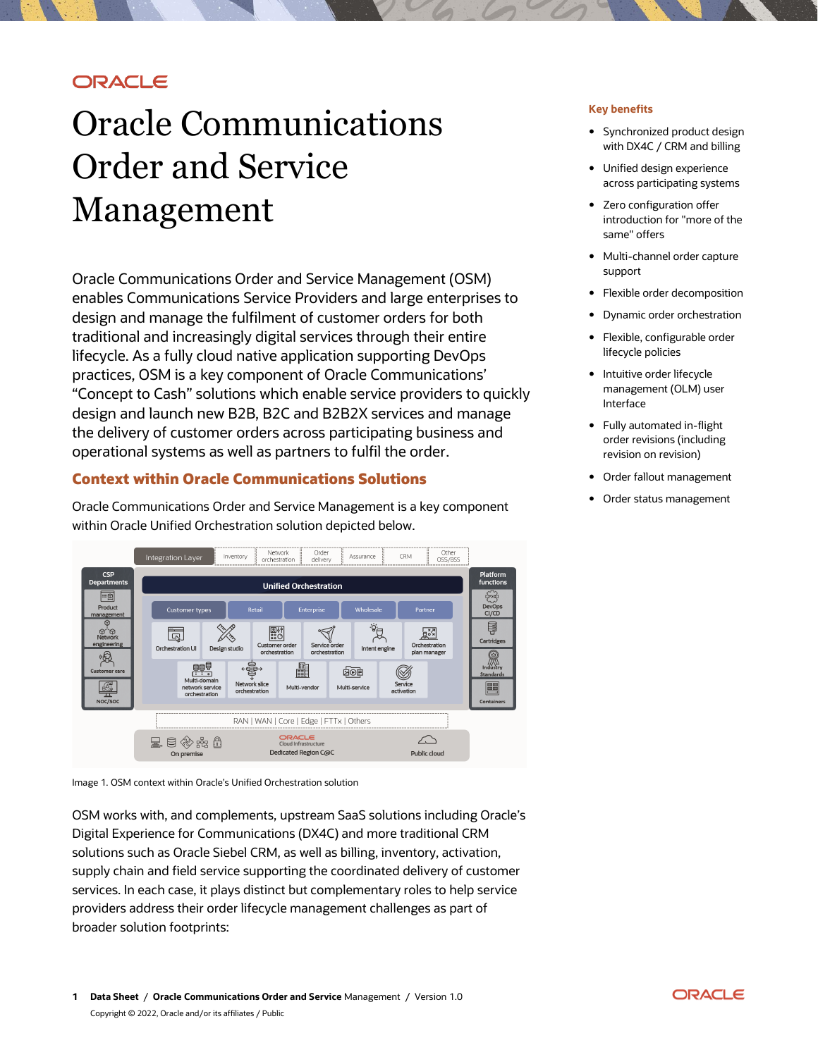# **ORACLE**

# Oracle Communications Order and Service Management

Oracle Communications Order and Service Management (OSM) enables Communications Service Providers and large enterprises to design and manage the fulfilment of customer orders for both traditional and increasingly digital services through their entire lifecycle. As a fully cloud native application supporting DevOps practices, OSM is a key component of Oracle Communications' "Concept to Cash" solutions which enable service providers to quickly design and launch new B2B, B2C and B2B2X services and manage the delivery of customer orders across participating business and operational systems as well as partners to fulfil the order.

# **Context within Oracle Communications Solutions**

Oracle Communications Order and Service Management is a key component within Oracle Unified Orchestration solution depicted below.



Image 1. OSM context within Oracle's Unified Orchestration solution

OSM works with, and complements, upstream SaaS solutions including Oracle's Digital Experience for Communications (DX4C) and more traditional CRM solutions such as Oracle Siebel CRM, as well as billing, inventory, activation, supply chain and field service supporting the coordinated delivery of customer services. In each case, it plays distinct but complementary roles to help service providers address their order lifecycle management challenges as part of broader solution footprints:

## **Key benefits**

- Synchronized product design with DX4C / CRM and billing
- Unified design experience across participating systems
- Zero configuration offer introduction for "more of the same" offers
- Multi-channel order capture support
- Flexible order decomposition
- Dynamic order orchestration
- Flexible, configurable order lifecycle policies
- Intuitive order lifecycle management (OLM) user Interface
- Fully automated in-flight order revisions (including revision on revision)
- Order fallout management
- Order status management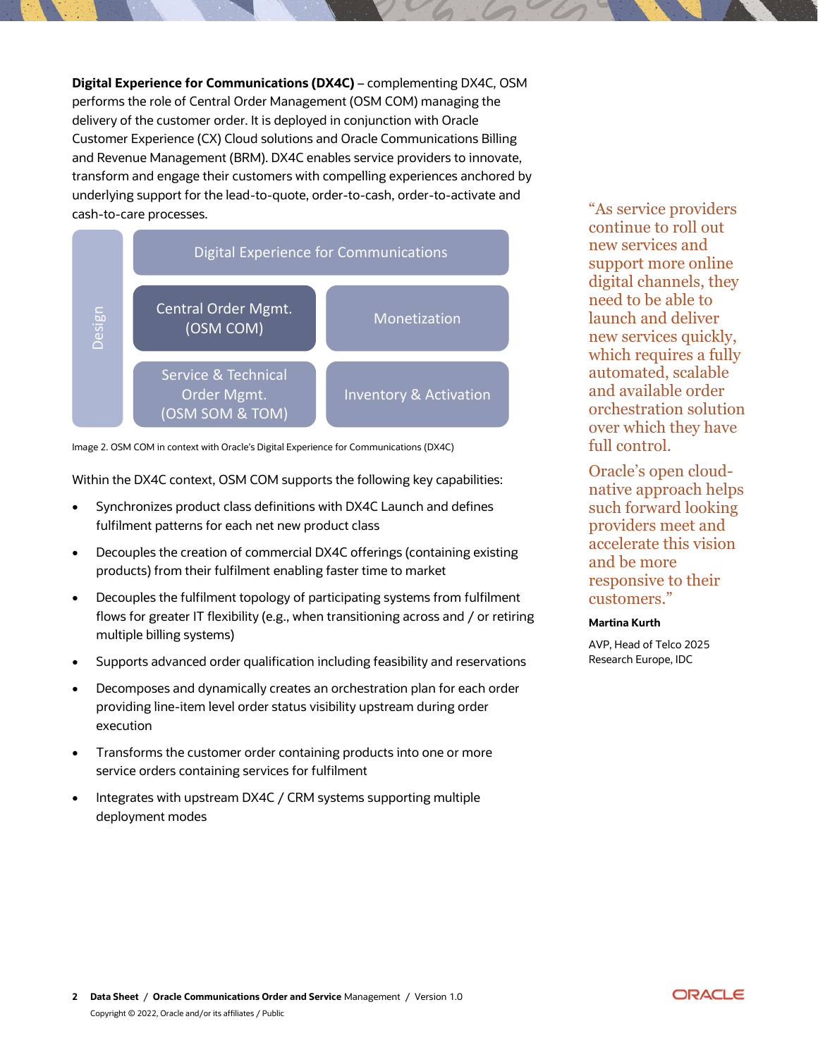**Digital Experience for Communications (DX4C)** – complementing DX4C, OSM performs the role of Central Order Management (OSM COM) managing the delivery of the customer order. It is deployed in conjunction with Oracle Customer Experience (CX) Cloud solutions and Oracle Communications Billing and Revenue Management (BRM). DX4C enables service providers to innovate, transform and engage their customers with compelling experiences anchored by underlying support for the lead-to-quote, order-to-cash, order-to-activate and cash-to-care processes.



Image 2. OSM COM in context with Oracle's Digital Experience for Communications (DX4C)

Within the DX4C context, OSM COM supports the following key capabilities:

- Synchronizes product class definitions with DX4C Launch and defines fulfilment patterns for each net new product class
- Decouples the creation of commercial DX4C offerings (containing existing products) from their fulfilment enabling faster time to market
- Decouples the fulfilment topology of participating systems from fulfilment flows for greater IT flexibility (e.g., when transitioning across and / or retiring multiple billing systems)
- Supports advanced order qualification including feasibility and reservations
- Decomposes and dynamically creates an orchestration plan for each order providing line-item level order status visibility upstream during order execution
- Transforms the customer order containing products into one or more service orders containing services for fulfilment
- Integrates with upstream DX4C / CRM systems supporting multiple deployment modes

"As service providers continue to roll out new services and support more online digital channels, they need to be able to launch and deliver new services quickly, which requires a fully automated, scalable and available order orchestration solution over which they have full control.

Oracle's open cloudnative approach helps such forward looking providers meet and accelerate this vision and be more responsive to their customers."

#### **Martina Kurth**

AVP, Head of Telco 2025 Research Europe, IDC

ORACLE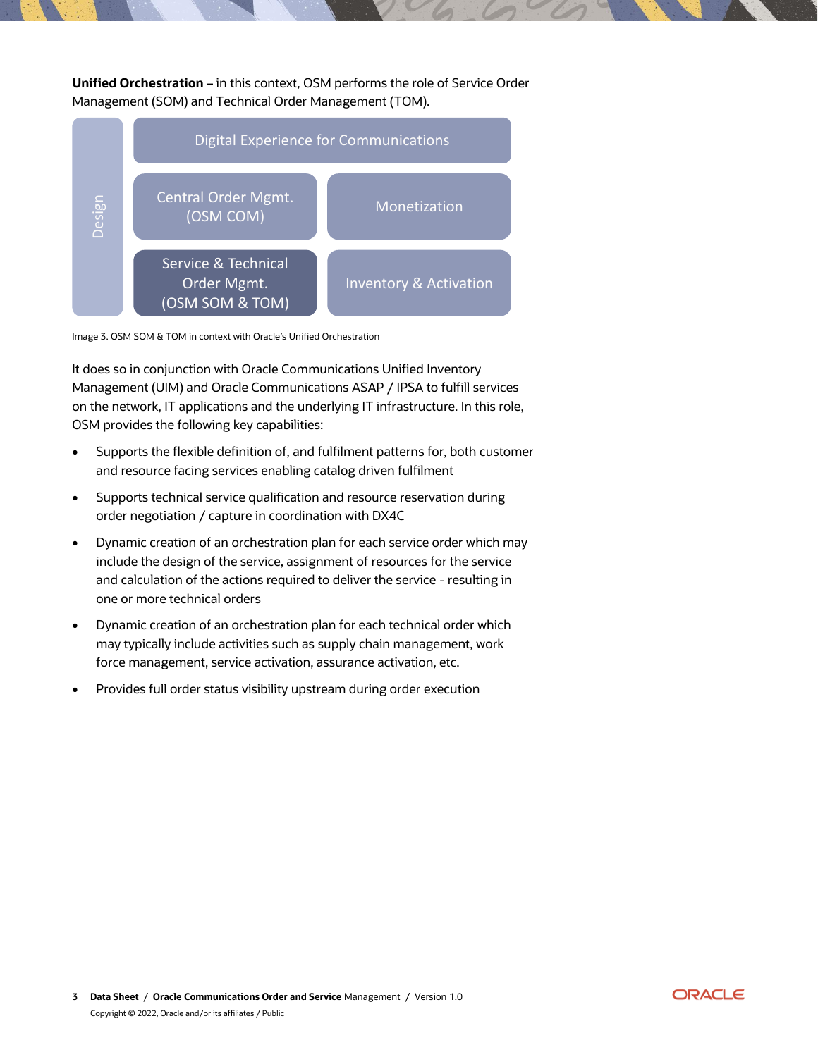**Unified Orchestration** – in this context, OSM performs the role of Service Order Management (SOM) and Technical Order Management (TOM).



Image 3. OSM SOM & TOM in context with Oracle's Unified Orchestration

It does so in conjunction with Oracle Communications Unified Inventory Management (UIM) and Oracle Communications ASAP / IPSA to fulfill services on the network, IT applications and the underlying IT infrastructure. In this role, OSM provides the following key capabilities:

- Supports the flexible definition of, and fulfilment patterns for, both customer and resource facing services enabling catalog driven fulfilment
- Supports technical service qualification and resource reservation during order negotiation / capture in coordination with DX4C
- Dynamic creation of an orchestration plan for each service order which may include the design of the service, assignment of resources for the service and calculation of the actions required to deliver the service - resulting in one or more technical orders
- Dynamic creation of an orchestration plan for each technical order which may typically include activities such as supply chain management, work force management, service activation, assurance activation, etc.
- Provides full order status visibility upstream during order execution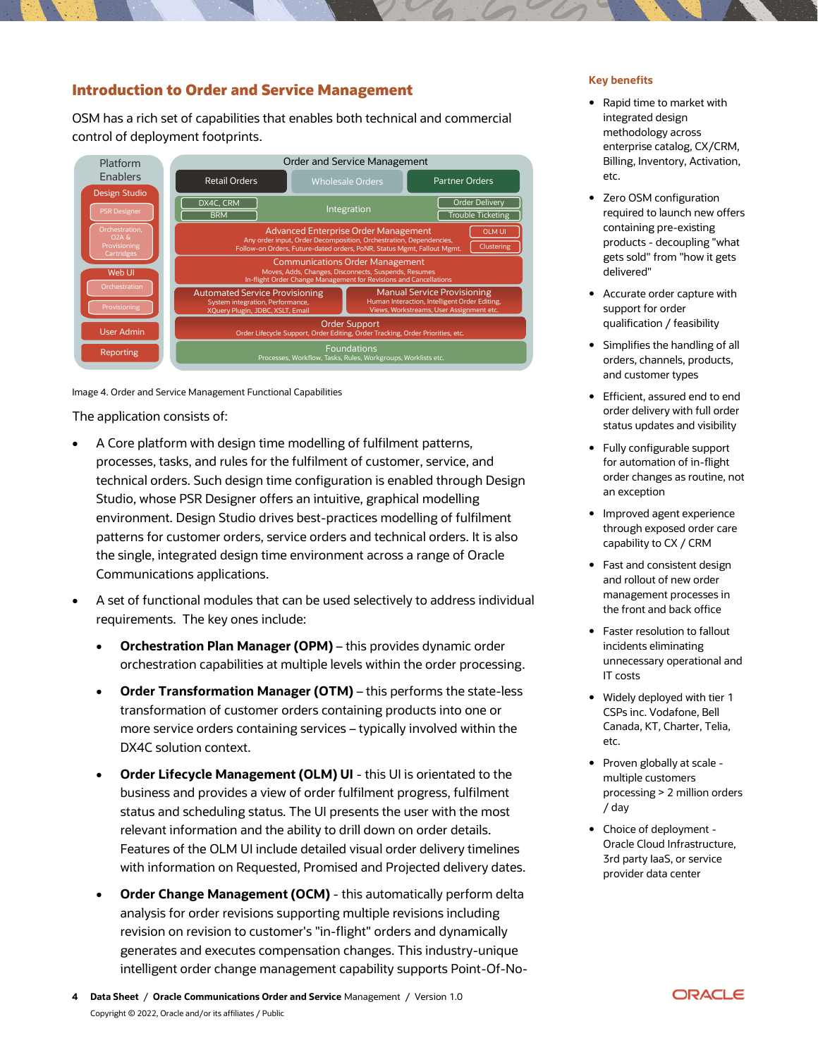# **Introduction to Order and Service Management**

OSM has a rich set of capabilities that enables both technical and commercial control of deployment footprints.



Image 4. Order and Service Management Functional Capabilities

The application consists of:

- A Core platform with design time modelling of fulfilment patterns, processes, tasks, and rules for the fulfilment of customer, service, and technical orders. Such design time configuration is enabled through Design Studio, whose PSR Designer offers an intuitive, graphical modelling environment. Design Studio drives best-practices modelling of fulfilment patterns for customer orders, service orders and technical orders. It is also the single, integrated design time environment across a range of Oracle Communications applications.
- A set of functional modules that can be used selectively to address individual requirements. The key ones include:
	- **Orchestration Plan Manager (OPM)** this provides dynamic order orchestration capabilities at multiple levels within the order processing.
	- **Order Transformation Manager (OTM)** this performs the state-less transformation of customer orders containing products into one or more service orders containing services – typically involved within the DX4C solution context.
	- **Order Lifecycle Management (OLM) UI** this UI is orientated to the business and provides a view of order fulfilment progress, fulfilment status and scheduling status. The UI presents the user with the most relevant information and the ability to drill down on order details. Features of the OLM UI include detailed visual order delivery timelines with information on Requested, Promised and Projected delivery dates.
	- **Order Change Management (OCM)** this automatically perform delta analysis for order revisions supporting multiple revisions including revision on revision to customer's "in-flight" orders and dynamically generates and executes compensation changes. This industry-unique intelligent order change management capability supports Point-Of-No-

#### **Key benefits**

- Rapid time to market with integrated design methodology across enterprise catalog, CX/CRM, Billing, Inventory, Activation, etc.
- Zero OSM configuration required to launch new offers containing pre-existing products - decoupling "what gets sold" from "how it gets delivered"
- Accurate order capture with support for order qualification / feasibility
- Simplifies the handling of all orders, channels, products, and customer types
- Efficient, assured end to end order delivery with full order status updates and visibility
- Fully configurable support for automation of in-flight order changes as routine, not an exception
- Improved agent experience through exposed order care capability to CX / CRM
- Fast and consistent design and rollout of new order management processes in the front and back office
- Faster resolution to fallout incidents eliminating unnecessary operational and IT costs
- Widely deployed with tier 1 CSPs inc. Vodafone, Bell Canada, KT, Charter, Telia, etc.
- Proven globally at scale multiple customers processing > 2 million orders / day
- Choice of deployment Oracle Cloud Infrastructure, 3rd party IaaS, or service provider data center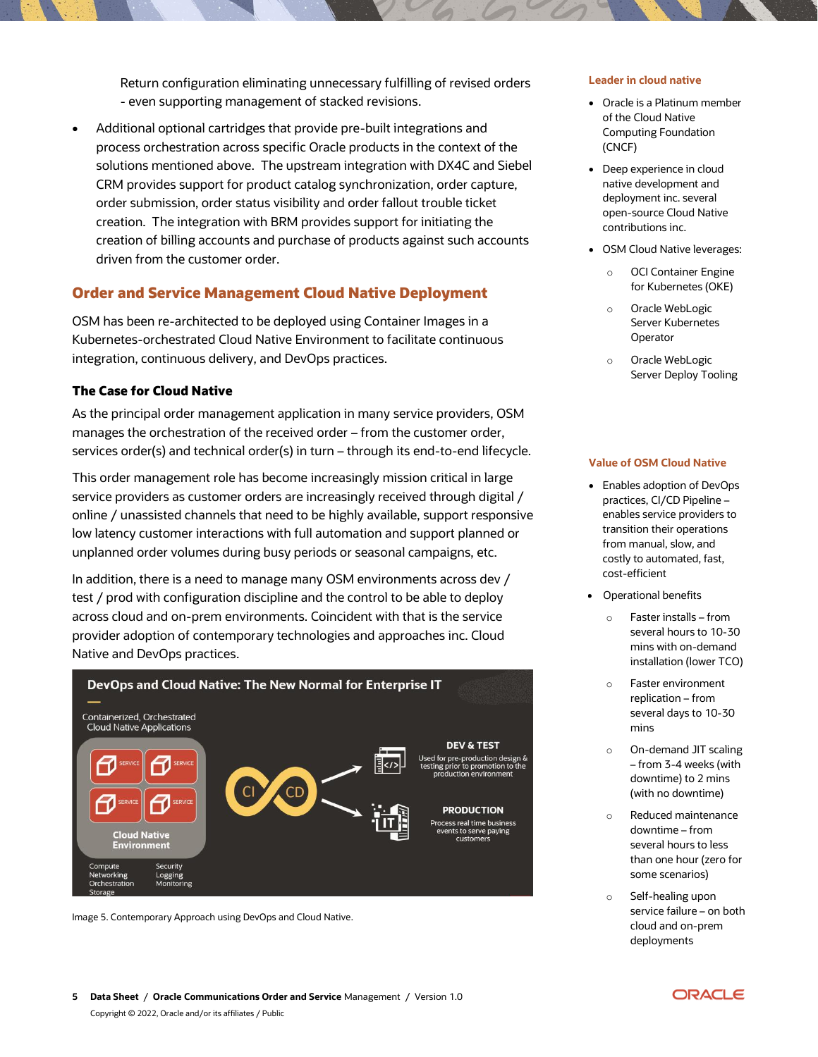Return configuration eliminating unnecessary fulfilling of revised orders - even supporting management of stacked revisions.

• Additional optional cartridges that provide pre-built integrations and process orchestration across specific Oracle products in the context of the solutions mentioned above. The upstream integration with DX4C and Siebel CRM provides support for product catalog synchronization, order capture, order submission, order status visibility and order fallout trouble ticket creation. The integration with BRM provides support for initiating the creation of billing accounts and purchase of products against such accounts driven from the customer order.

# **Order and Service Management Cloud Native Deployment**

OSM has been re-architected to be deployed using Container Images in a Kubernetes-orchestrated Cloud Native Environment to facilitate continuous integration, continuous delivery, and DevOps practices.

## **The Case for Cloud Native**

As the principal order management application in many service providers, OSM manages the orchestration of the received order – from the customer order, services order(s) and technical order(s) in turn – through its end-to-end lifecycle.

This order management role has become increasingly mission critical in large service providers as customer orders are increasingly received through digital / online / unassisted channels that need to be highly available, support responsive low latency customer interactions with full automation and support planned or unplanned order volumes during busy periods or seasonal campaigns, etc.

In addition, there is a need to manage many OSM environments across dev / test / prod with configuration discipline and the control to be able to deploy across cloud and on-prem environments. Coincident with that is the service provider adoption of contemporary technologies and approaches inc. Cloud Native and DevOps practices.



Image 5. Contemporary Approach using DevOps and Cloud Native.

#### **Leader in cloud native**

- Oracle is a Platinum member of the Cloud Native Computing Foundation (CNCF)
- Deep experience in cloud native development and deployment inc. several open-source Cloud Native contributions inc.
- OSM Cloud Native leverages:
	- o OCI Container Engine for Kubernetes (OKE)
	- o Oracle WebLogic Server Kubernetes **Operator**
	- o Oracle WebLogic Server Deploy Tooling

#### **Value of OSM Cloud Native**

- Enables adoption of DevOps practices, CI/CD Pipeline – enables service providers to transition their operations from manual, slow, and costly to automated, fast, cost-efficient
- Operational benefits
	- o Faster installs from several hours to 10-30 mins with on-demand installation (lower TCO)
	- o Faster environment replication – from several days to 10-30 mins
	- o On-demand JIT scaling – from 3-4 weeks (with downtime) to 2 mins (with no downtime)
	- o Reduced maintenance downtime – from several hours to less than one hour (zero for some scenarios)
	- o Self-healing upon service failure – on both cloud and on-prem deployments

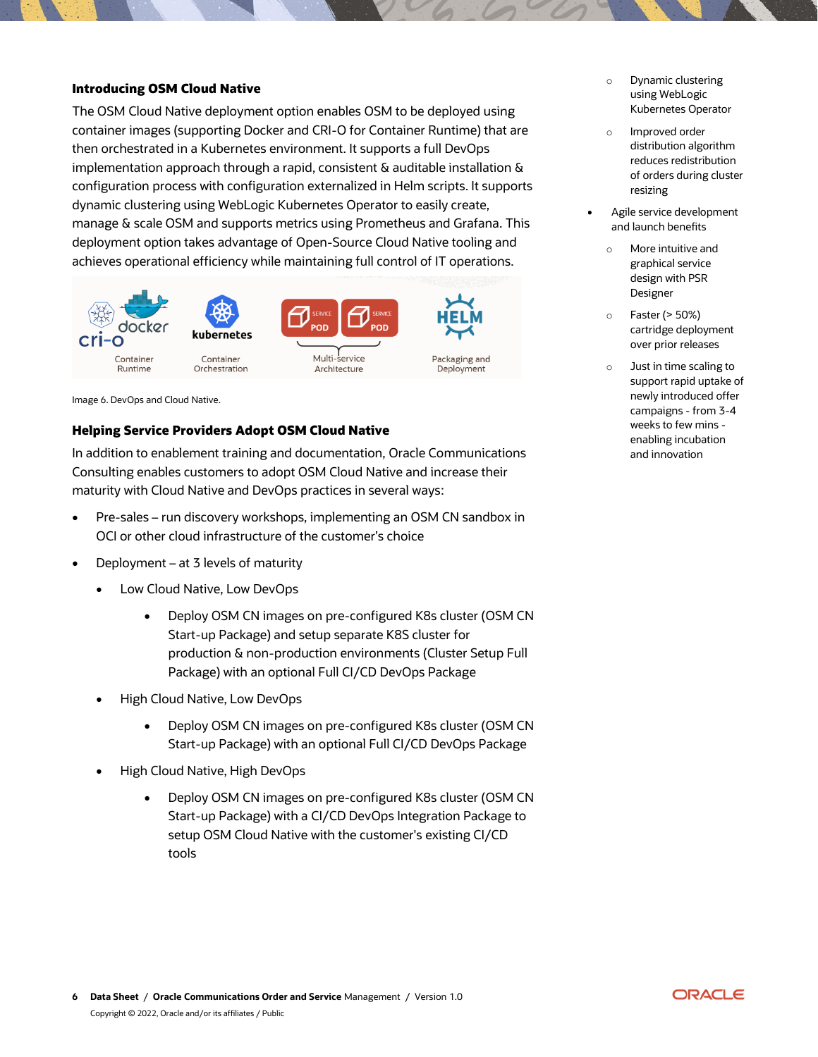## **Introducing OSM Cloud Native**

The OSM Cloud Native deployment option enables OSM to be deployed using container images (supporting Docker and CRI-O for Container Runtime) that are then orchestrated in a Kubernetes environment. It supports a full DevOps implementation approach through a rapid, consistent & auditable installation & configuration process with configuration externalized in Helm scripts. It supports dynamic clustering using WebLogic Kubernetes Operator to easily create, manage & scale OSM and supports metrics using Prometheus and Grafana. This deployment option takes advantage of Open-Source Cloud Native tooling and achieves operational efficiency while maintaining full control of IT operations.



Image 6. DevOps and Cloud Native.

## **Helping Service Providers Adopt OSM Cloud Native**

In addition to enablement training and documentation, Oracle Communications Consulting enables customers to adopt OSM Cloud Native and increase their maturity with Cloud Native and DevOps practices in several ways:

- Pre-sales run discovery workshops, implementing an OSM CN sandbox in OCI or other cloud infrastructure of the customer's choice
- Deployment at 3 levels of maturity
	- Low Cloud Native, Low DevOps
		- Deploy OSM CN images on pre-configured K8s cluster (OSM CN Start-up Package) and setup separate K8S cluster for production & non-production environments (Cluster Setup Full Package) with an optional Full CI/CD DevOps Package
	- High Cloud Native, Low DevOps
		- Deploy OSM CN images on pre-configured K8s cluster (OSM CN Start-up Package) with an optional Full CI/CD DevOps Package
	- High Cloud Native, High DevOps
		- Deploy OSM CN images on pre-configured K8s cluster (OSM CN Start-up Package) with a CI/CD DevOps Integration Package to setup OSM Cloud Native with the customer's existing CI/CD tools
- o Dynamic clustering using WebLogic Kubernetes Operator
- o Improved order distribution algorithm reduces redistribution of orders during cluster resizing
- Agile service development and launch benefits
	- o More intuitive and graphical service design with PSR Designer
	- o Faster (> 50%) cartridge deployment over prior releases
	- o Just in time scaling to support rapid uptake of newly introduced offer campaigns - from 3-4 weeks to few mins enabling incubation and innovation